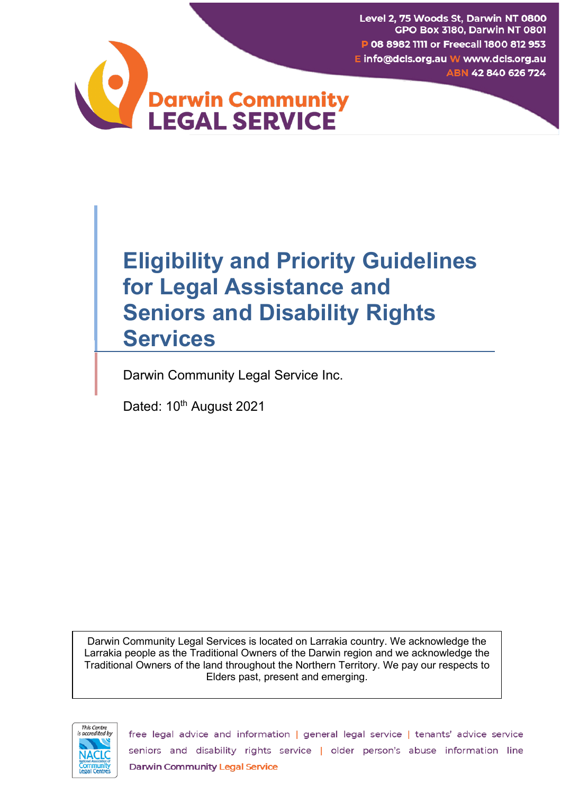Level 2, 75 Woods St, Darwin NT 0800 **GPO Box 3180, Darwin NT 0801** P 08 8982 1111 or Freecall 1800 812 953 E info@dcls.org.au W www.dcls.org.au ABN 42 840 626 724



# **Eligibility and Priority Guidelines for Legal Assistance and Seniors and Disability Rights Services**

Darwin Community Legal Service Inc.

Dated: 10<sup>th</sup> August 2021

Darwin Community Legal Services is located on Larrakia country. We acknowledge the Larrakia people as the Traditional Owners of the Darwin region and we acknowledge the Traditional Owners of the land throughout the Northern Territory. We pay our respects to Elders past, present and emerging.



free legal advice and information | general legal service | tenants' advice service seniors and disability rights service | older person's abuse information line **Darwin Community Legal Service**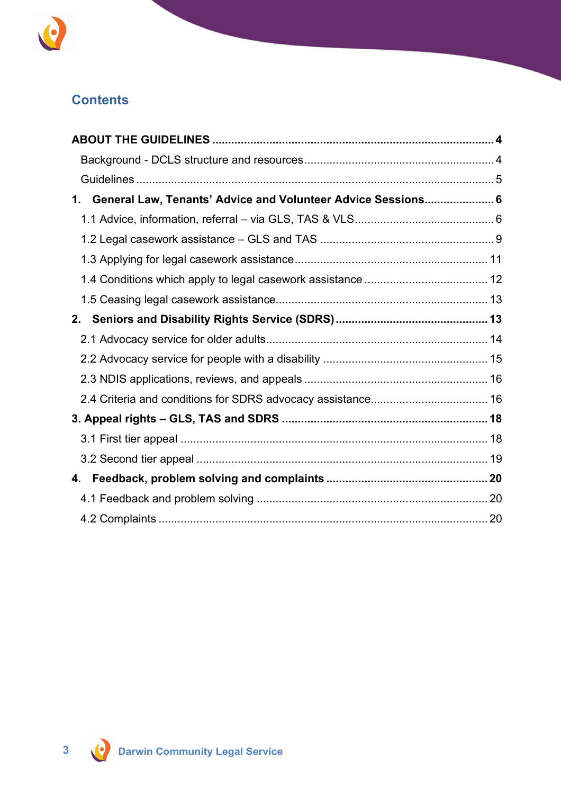

# **Contents**

| General Law, Tenants' Advice and Volunteer Advice Sessions 6<br>1. |  |
|--------------------------------------------------------------------|--|
|                                                                    |  |
|                                                                    |  |
|                                                                    |  |
|                                                                    |  |
|                                                                    |  |
| 2.                                                                 |  |
|                                                                    |  |
|                                                                    |  |
|                                                                    |  |
|                                                                    |  |
|                                                                    |  |
|                                                                    |  |
|                                                                    |  |
| 4.                                                                 |  |
|                                                                    |  |
|                                                                    |  |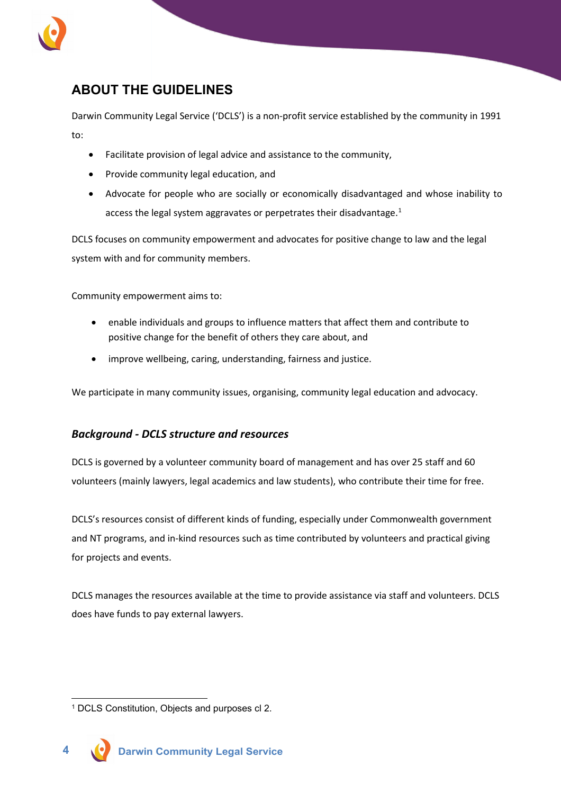

# <span id="page-2-0"></span>**ABOUT THE GUIDELINES**

Darwin Community Legal Service ('DCLS') is a non-profit service established by the community in 1991 to:

- Facilitate provision of legal advice and assistance to the community,
- Provide community legal education, and
- Advocate for people who are socially or economically disadvantaged and whose inability to access the legal system aggravates or perpetrates their disadvantage.<sup>[1](#page-2-2)</sup>

DCLS focuses on community empowerment and advocates for positive change to law and the legal system with and for community members.

Community empowerment aims to:

- enable individuals and groups to influence matters that affect them and contribute to positive change for the benefit of others they care about, and
- improve wellbeing, caring, understanding, fairness and justice.

We participate in many community issues, organising, community legal education and advocacy.

#### <span id="page-2-1"></span>*Background - DCLS structure and resources*

DCLS is governed by a volunteer community board of management and has over 25 staff and 60 volunteers (mainly lawyers, legal academics and law students), who contribute their time for free.

DCLS's resources consist of different kinds of funding, especially under Commonwealth government and NT programs, and in-kind resources such as time contributed by volunteers and practical giving for projects and events.

DCLS manages the resources available at the time to provide assistance via staff and volunteers. DCLS does have funds to pay external lawyers.

<span id="page-2-2"></span><sup>1</sup> DCLS Constitution, Objects and purposes cl 2.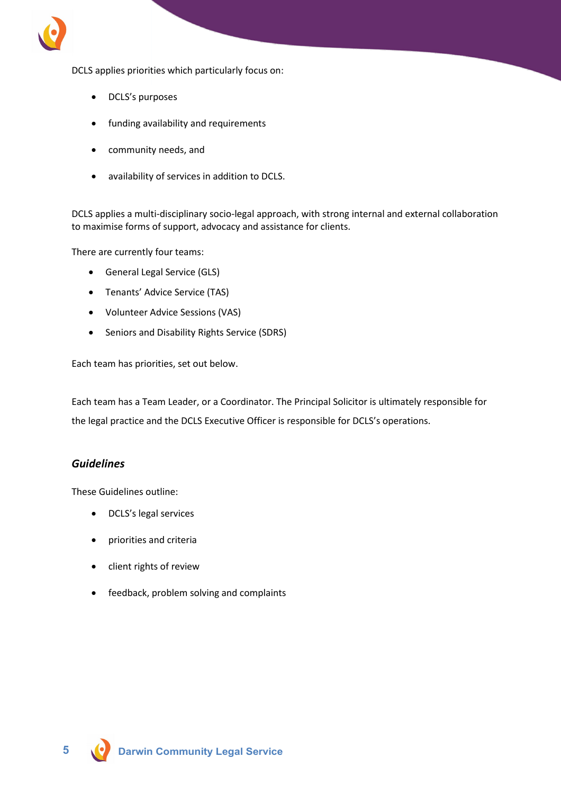

DCLS applies priorities which particularly focus on:

- DCLS's purposes
- funding availability and requirements
- community needs, and
- availability of services in addition to DCLS.

DCLS applies a multi-disciplinary socio-legal approach, with strong internal and external collaboration to maximise forms of support, advocacy and assistance for clients.

There are currently four teams:

- General Legal Service (GLS)
- Tenants' Advice Service (TAS)
- Volunteer Advice Sessions (VAS)
- Seniors and Disability Rights Service (SDRS)

Each team has priorities, set out below.

Each team has a Team Leader, or a Coordinator. The Principal Solicitor is ultimately responsible for the legal practice and the DCLS Executive Officer is responsible for DCLS's operations.

#### <span id="page-3-0"></span>*Guidelines*

These Guidelines outline:

- DCLS's legal services
- priorities and criteria
- client rights of review
- feedback, problem solving and complaints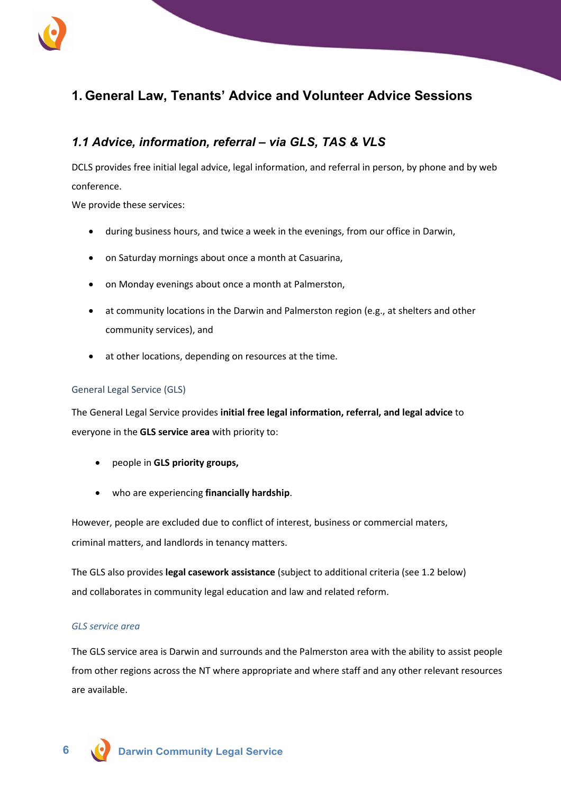

# <span id="page-4-0"></span>**1. General Law, Tenants' Advice and Volunteer Advice Sessions**

# <span id="page-4-1"></span>*1.1 Advice, information, referral – via GLS, TAS & VLS*

DCLS provides free initial legal advice, legal information, and referral in person, by phone and by web conference.

We provide these services:

- during business hours, and twice a week in the evenings, from our office in Darwin,
- on Saturday mornings about once a month at Casuarina,
- on Monday evenings about once a month at Palmerston,
- at community locations in the Darwin and Palmerston region (e.g., at shelters and other community services), and
- at other locations, depending on resources at the time.

#### General Legal Service (GLS)

The General Legal Service provides **initial free legal information, referral, and legal advice** to everyone in the **GLS service area** with priority to:

- people in **GLS priority groups,**
- who are experiencing **financially hardship**.

However, people are excluded due to conflict of interest, business or commercial maters, criminal matters, and landlords in tenancy matters.

The GLS also provides **legal casework assistance** (subject to additional criteria (see 1.2 below) and collaborates in community legal education and law and related reform.

#### *GLS service area*

The GLS service area is Darwin and surrounds and the Palmerston area with the ability to assist people from other regions across the NT where appropriate and where staff and any other relevant resources are available.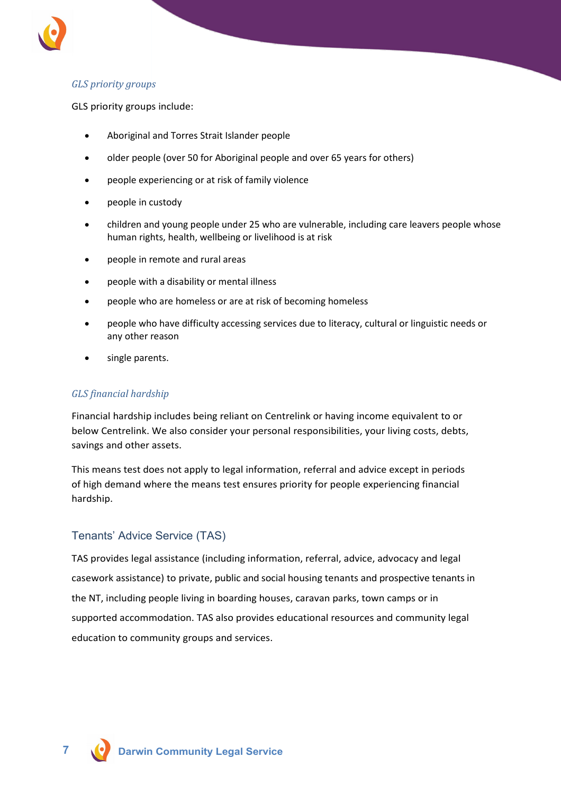

### *GLS priority groups*

GLS priority groups include:

- Aboriginal and Torres Strait Islander people
- older people (over 50 for Aboriginal people and over 65 years for others)
- people experiencing or at risk of family violence
- people in custody
- children and young people under 25 who are vulnerable, including care leavers people whose human rights, health, wellbeing or livelihood is at risk
- people in remote and rural areas
- people with a disability or mental illness
- people who are homeless or are at risk of becoming homeless
- people who have difficulty accessing services due to literacy, cultural or linguistic needs or any other reason
- single parents.

#### *GLS financial hardship*

Financial hardship includes being reliant on Centrelink or having income equivalent to or below Centrelink. We also consider your personal responsibilities, your living costs, debts, savings and other assets.

This means test does not apply to legal information, referral and advice except in periods of high demand where the means test ensures priority for people experiencing financial hardship.

#### Tenants' Advice Service (TAS)

TAS provides legal assistance (including information, referral, advice, advocacy and legal casework assistance) to private, public and social housing tenants and prospective tenants in the NT, including people living in boarding houses, caravan parks, town camps or in supported accommodation. TAS also provides educational resources and community legal education to community groups and services.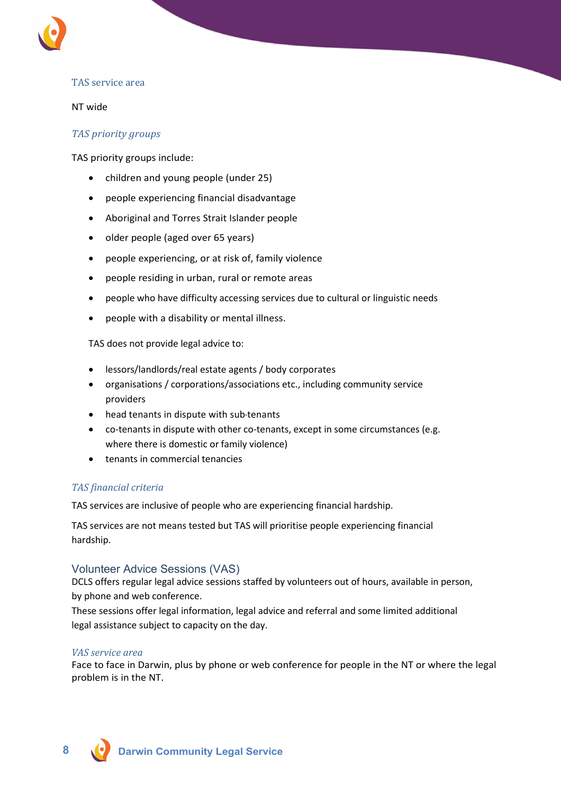

#### TAS service area

#### NT wide

#### *TAS priority groups*

TAS priority groups include:

- children and young people (under 25)
- people experiencing financial disadvantage
- Aboriginal and Torres Strait Islander people
- older people (aged over 65 years)
- people experiencing, or at risk of, family violence
- people residing in urban, rural or remote areas
- people who have difficulty accessing services due to cultural or linguistic needs
- people with a disability or mental illness.

TAS does not provide legal advice to:

- lessors/landlords/real estate agents / body corporates
- organisations / corporations/associations etc., including community service providers
- head tenants in dispute with sub-tenants
- co-tenants in dispute with other co-tenants, except in some circumstances (e.g. where there is domestic or family violence)
- tenants in commercial tenancies

#### *TAS financial criteria*

TAS services are inclusive of people who are experiencing financial hardship.

TAS services are not means tested but TAS will prioritise people experiencing financial hardship.

#### Volunteer Advice Sessions (VAS)

DCLS offers regular legal advice sessions staffed by volunteers out of hours, available in person, by phone and web conference.

These sessions offer legal information, legal advice and referral and some limited additional legal assistance subject to capacity on the day.

#### *VAS service area*

Face to face in Darwin, plus by phone or web conference for people in the NT or where the legal problem is in the NT.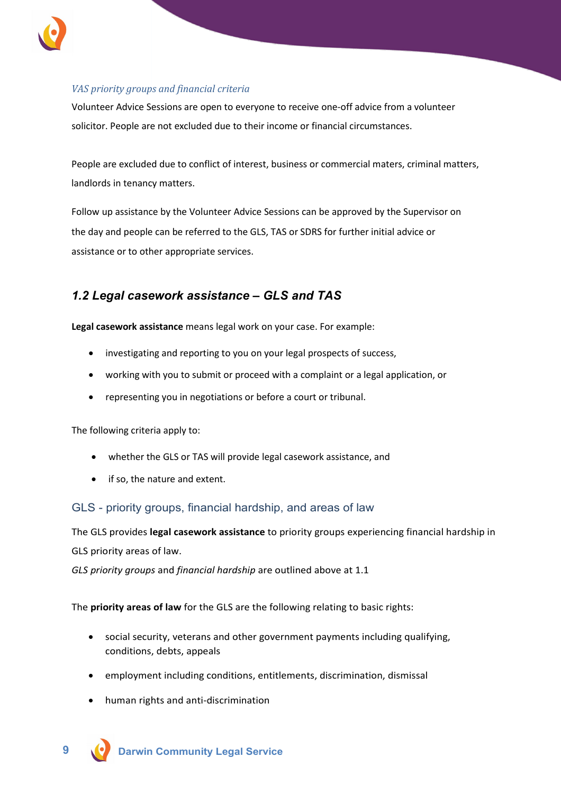

#### *VAS priority groups and financial criteria*

Volunteer Advice Sessions are open to everyone to receive one-off advice from a volunteer solicitor. People are not excluded due to their income or financial circumstances.

People are excluded due to conflict of interest, business or commercial maters, criminal matters, landlords in tenancy matters.

Follow up assistance by the Volunteer Advice Sessions can be approved by the Supervisor on the day and people can be referred to the GLS, TAS or SDRS for further initial advice or assistance or to other appropriate services.

# <span id="page-7-0"></span>*1.2 Legal casework assistance – GLS and TAS*

**Legal casework assistance** means legal work on your case. For example:

- investigating and reporting to you on your legal prospects of success,
- working with you to submit or proceed with a complaint or a legal application, or
- representing you in negotiations or before a court or tribunal.

The following criteria apply to:

- whether the GLS or TAS will provide legal casework assistance, and
- if so, the nature and extent.

#### GLS - priority groups, financial hardship, and areas of law

The GLS provides **legal casework assistance** to priority groups experiencing financial hardship in GLS priority areas of law.

*GLS priority groups* and *financial hardship* are outlined above at 1.1

The **priority areas of law** for the GLS are the following relating to basic rights:

- social security, veterans and other government payments including qualifying, conditions, debts, appeals
- employment including conditions, entitlements, discrimination, dismissal
- human rights and anti-discrimination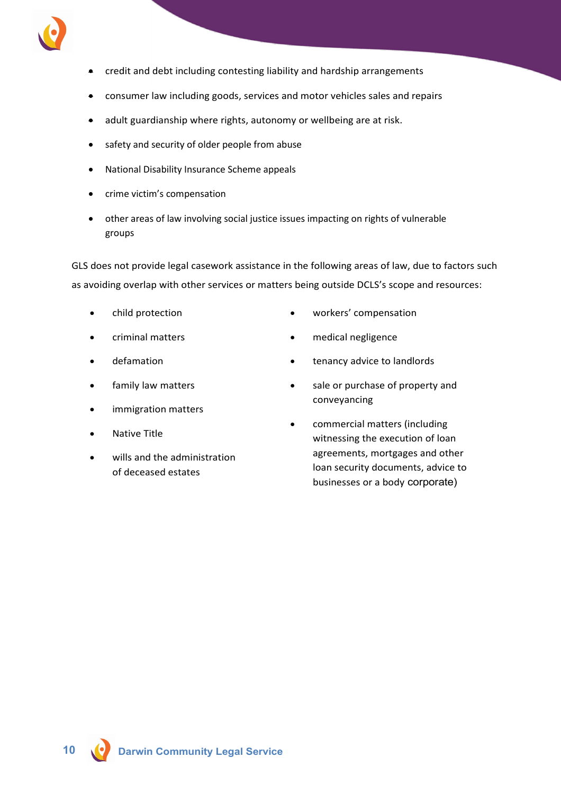

- credit and debt including contesting liability and hardship arrangements
- consumer law including goods, services and motor vehicles sales and repairs
- adult guardianship where rights, autonomy or wellbeing are at risk.
- safety and security of older people from abuse
- National Disability Insurance Scheme appeals
- crime victim's compensation
- other areas of law involving social justice issues impacting on rights of vulnerable groups

GLS does not provide legal casework assistance in the following areas of law, due to factors such as avoiding overlap with other services or matters being outside DCLS's scope and resources:

- child protection
- criminal matters
- defamation
- family law matters
- immigration matters
- Native Title
- wills and the administration of deceased estates
- workers' compensation
- medical negligence
- tenancy advice to landlords
- sale or purchase of property and conveyancing
- commercial matters (including witnessing the execution of loan agreements, mortgages and other loan security documents, advice to businesses or a body corporate)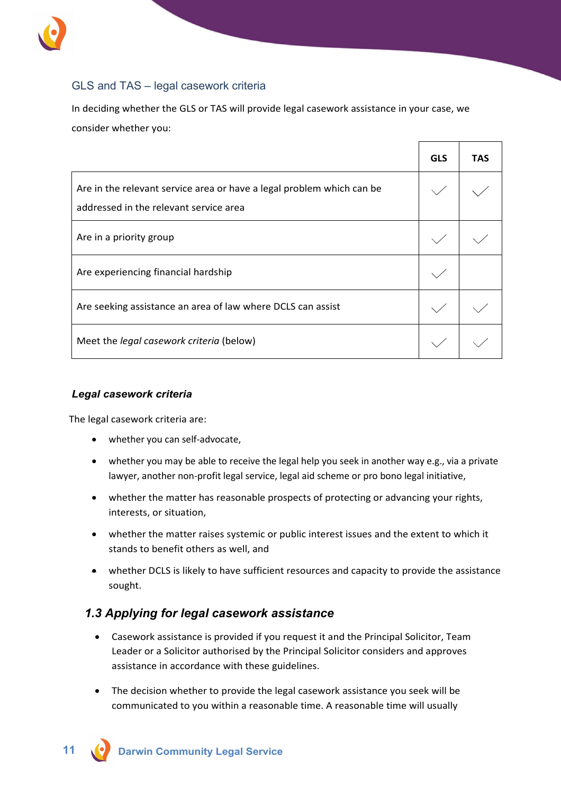

### GLS and TAS – legal casework criteria

In deciding whether the GLS or TAS will provide legal casework assistance in your case, we consider whether you:

|                                                                                                                 | <b>GLS</b> | <b>TAS</b> |
|-----------------------------------------------------------------------------------------------------------------|------------|------------|
| Are in the relevant service area or have a legal problem which can be<br>addressed in the relevant service area |            |            |
| Are in a priority group                                                                                         |            |            |
| Are experiencing financial hardship                                                                             |            |            |
| Are seeking assistance an area of law where DCLS can assist                                                     |            |            |
| Meet the <i>legal casework criteria</i> (below)                                                                 |            |            |

#### *Legal casework criteria*

The legal casework criteria are:

- whether you can self-advocate,
- whether you may be able to receive the legal help you seek in another way e.g., via a private lawyer, another non-profit legal service, legal aid scheme or pro bono legal initiative,
- whether the matter has reasonable prospects of protecting or advancing your rights, interests, or situation,
- whether the matter raises systemic or public interest issues and the extent to which it stands to benefit others as well, and
- whether DCLS is likely to have sufficient resources and capacity to provide the assistance sought.

### <span id="page-9-0"></span>*1.3 Applying for legal casework assistance*

- Casework assistance is provided if you request it and the Principal Solicitor, Team Leader or a Solicitor authorised by the Principal Solicitor considers and approves assistance in accordance with these guidelines.
- The decision whether to provide the legal casework assistance you seek will be communicated to you within a reasonable time. A reasonable time will usually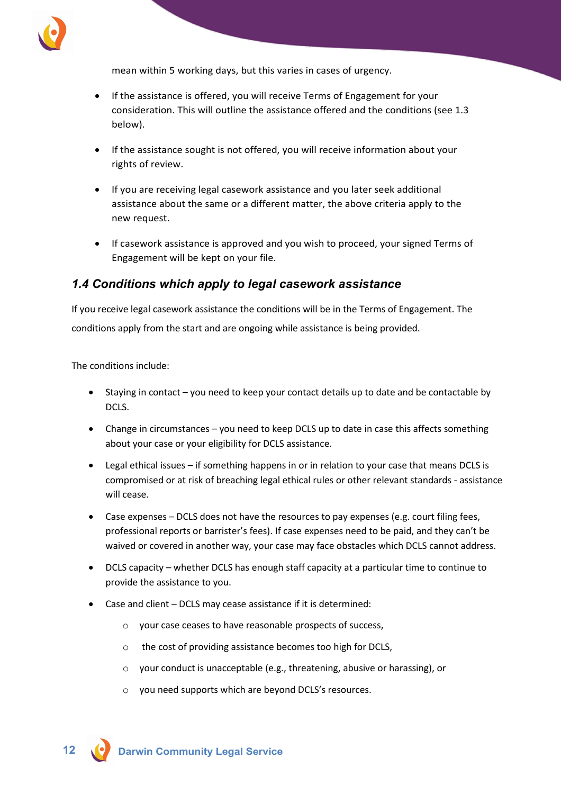

mean within 5 working days, but this varies in cases of urgency.

- If the assistance is offered, you will receive Terms of Engagement for your consideration. This will outline the assistance offered and the conditions (see 1.3 below).
- If the assistance sought is not offered, you will receive information about your rights of review.
- If you are receiving legal casework assistance and you later seek additional assistance about the same or a different matter, the above criteria apply to the new request.
- If casework assistance is approved and you wish to proceed, your signed Terms of Engagement will be kept on your file.

### <span id="page-10-0"></span>*1.4 Conditions which apply to legal casework assistance*

If you receive legal casework assistance the conditions will be in the Terms of Engagement. The conditions apply from the start and are ongoing while assistance is being provided.

The conditions include:

- Staying in contact you need to keep your contact details up to date and be contactable by DCLS.
- Change in circumstances you need to keep DCLS up to date in case this affects something about your case or your eligibility for DCLS assistance.
- Legal ethical issues if something happens in or in relation to your case that means DCLS is compromised or at risk of breaching legal ethical rules or other relevant standards - assistance will cease.
- Case expenses DCLS does not have the resources to pay expenses (e.g. court filing fees, professional reports or barrister's fees). If case expenses need to be paid, and they can't be waived or covered in another way, your case may face obstacles which DCLS cannot address.
- DCLS capacity whether DCLS has enough staff capacity at a particular time to continue to provide the assistance to you.
- Case and client DCLS may cease assistance if it is determined:
	- o your case ceases to have reasonable prospects of success,
	- o the cost of providing assistance becomes too high for DCLS,
	- o your conduct is unacceptable (e.g., threatening, abusive or harassing), or
	- o you need supports which are beyond DCLS's resources.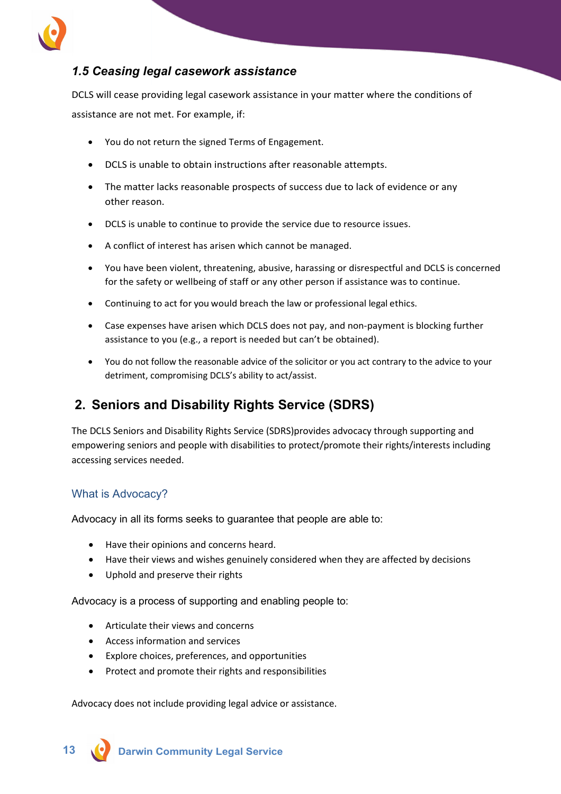

# <span id="page-11-0"></span>*1.5 Ceasing legal casework assistance*

DCLS will cease providing legal casework assistance in your matter where the conditions of assistance are not met. For example, if:

- You do not return the signed Terms of Engagement.
- DCLS is unable to obtain instructions after reasonable attempts.
- The matter lacks reasonable prospects of success due to lack of evidence or any other reason.
- DCLS is unable to continue to provide the service due to resource issues.
- A conflict of interest has arisen which cannot be managed.
- You have been violent, threatening, abusive, harassing or disrespectful and DCLS is concerned for the safety or wellbeing of staff or any other person if assistance was to continue.
- Continuing to act for you would breach the law or professional legal ethics.
- Case expenses have arisen which DCLS does not pay, and non-payment is blocking further assistance to you (e.g., a report is needed but can't be obtained).
- You do not follow the reasonable advice of the solicitor or you act contrary to the advice to your detriment, compromising DCLS's ability to act/assist.

# <span id="page-11-1"></span>**2. Seniors and Disability Rights Service (SDRS)**

The DCLS Seniors and Disability Rights Service (SDRS)provides advocacy through supporting and empowering seniors and people with disabilities to protect/promote their rights/interests including accessing services needed.

#### What is Advocacy?

Advocacy in all its forms seeks to guarantee that people are able to:

- Have their opinions and concerns heard.
- Have their views and wishes genuinely considered when they are affected by decisions
- Uphold and preserve their rights

Advocacy is a process of supporting and enabling people to:

- Articulate their views and concerns
- Access information and services
- Explore choices, preferences, and opportunities
- Protect and promote their rights and responsibilities

Advocacy does not include providing legal advice or assistance.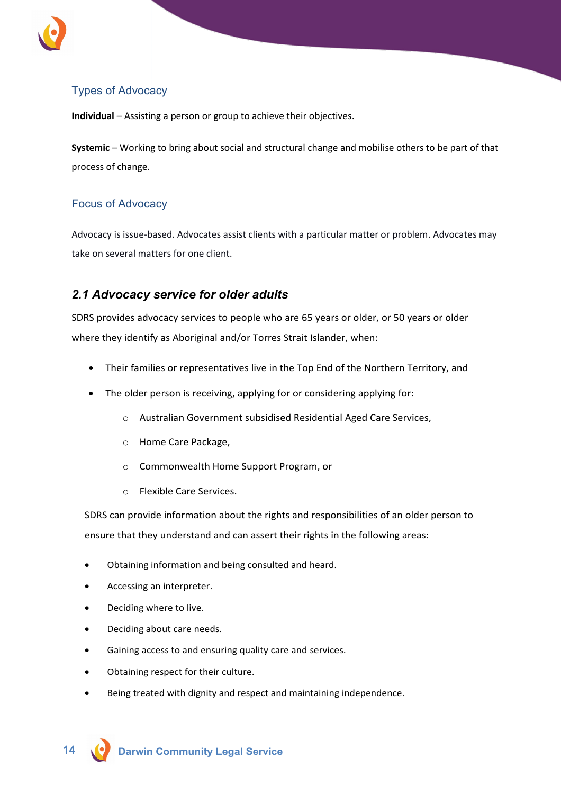

# Types of Advocacy

**Individual** – Assisting a person or group to achieve their objectives.

**Systemic** – Working to bring about social and structural change and mobilise others to be part of that process of change.

### Focus of Advocacy

Advocacy is issue-based. Advocates assist clients with a particular matter or problem. Advocates may take on several matters for one client.

# <span id="page-12-0"></span>*2.1 Advocacy service for older adults*

SDRS provides advocacy services to people who are 65 years or older, or 50 years or older where they identify as Aboriginal and/or Torres Strait Islander, when:

- Their families or representatives live in the Top End of the Northern Territory, and
- The older person is receiving, applying for or considering applying for:
	- o Australian Government subsidised Residential Aged Care Services,
	- o Home Care Package,
	- o Commonwealth Home Support Program, or
	- o Flexible Care Services.

SDRS can provide information about the rights and responsibilities of an older person to ensure that they understand and can assert their rights in the following areas:

- Obtaining information and being consulted and heard.
- Accessing an interpreter.
- Deciding where to live.
- Deciding about care needs.
- Gaining access to and ensuring quality care and services.
- Obtaining respect for their culture.
- Being treated with dignity and respect and maintaining independence.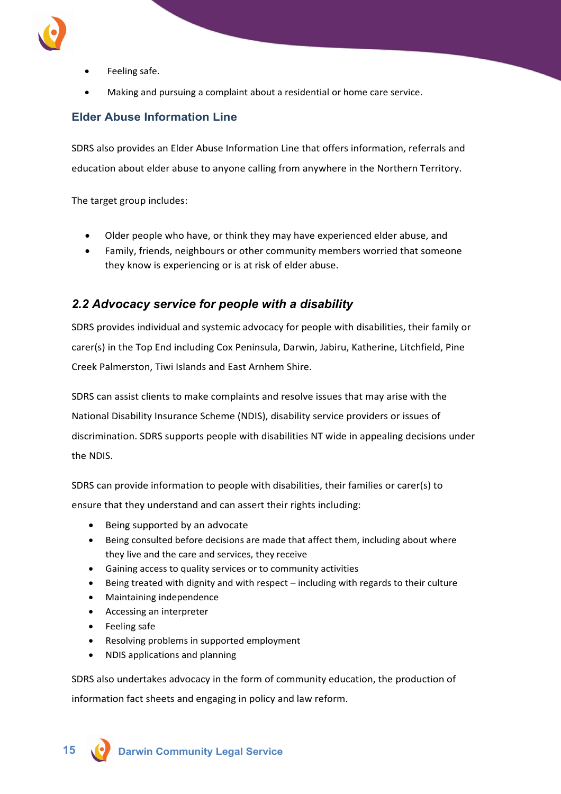

- Feeling safe.
- Making and pursuing a complaint about a residential or home care service.

### **Elder Abuse Information Line**

SDRS also provides an Elder Abuse Information Line that offers information, referrals and education about elder abuse to anyone calling from anywhere in the Northern Territory.

The target group includes:

- Older people who have, or think they may have experienced elder abuse, and
- Family, friends, neighbours or other community members worried that someone they know is experiencing or is at risk of elder abuse.

# <span id="page-13-0"></span>*2.2 Advocacy service for people with a disability*

SDRS provides individual and systemic advocacy for people with disabilities, their family or carer(s) in the Top End including Cox Peninsula, Darwin, Jabiru, Katherine, Litchfield, Pine Creek Palmerston, Tiwi Islands and East Arnhem Shire.

SDRS can assist clients to make complaints and resolve issues that may arise with the National Disability Insurance Scheme (NDIS), disability service providers or issues of discrimination. SDRS supports people with disabilities NT wide in appealing decisions under the NDIS.

SDRS can provide information to people with disabilities, their families or carer(s) to ensure that they understand and can assert their rights including:

- Being supported by an advocate
- Being consulted before decisions are made that affect them, including about where they live and the care and services, they receive
- Gaining access to quality services or to community activities
- Being treated with dignity and with respect including with regards to their culture
- Maintaining independence
- Accessing an interpreter
- Feeling safe
- Resolving problems in supported employment
- NDIS applications and planning

SDRS also undertakes advocacy in the form of community education, the production of information fact sheets and engaging in policy and law reform.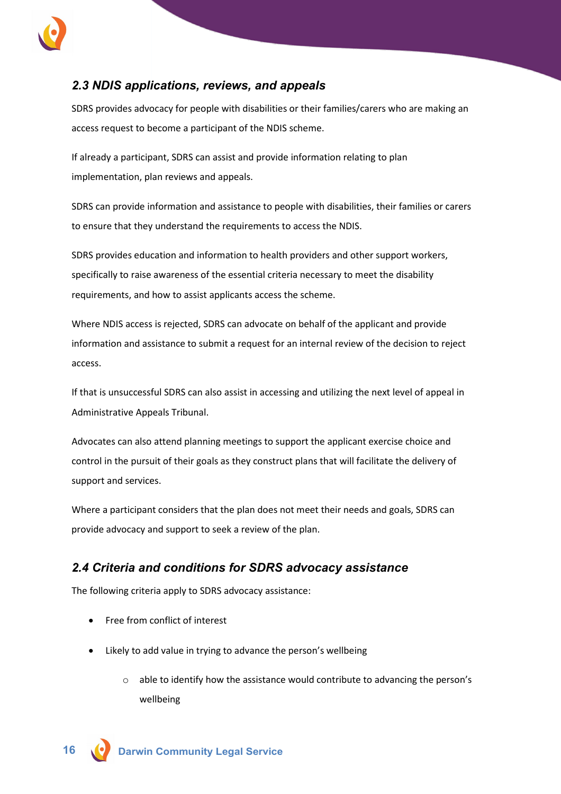

# <span id="page-14-0"></span>*2.3 NDIS applications, reviews, and appeals*

SDRS provides advocacy for people with disabilities or their families/carers who are making an access request to become a participant of the NDIS scheme.

If already a participant, SDRS can assist and provide information relating to plan implementation, plan reviews and appeals.

SDRS can provide information and assistance to people with disabilities, their families or carers to ensure that they understand the requirements to access the NDIS.

SDRS provides education and information to health providers and other support workers, specifically to raise awareness of the essential criteria necessary to meet the disability requirements, and how to assist applicants access the scheme.

Where NDIS access is rejected, SDRS can advocate on behalf of the applicant and provide information and assistance to submit a request for an internal review of the decision to reject access.

If that is unsuccessful SDRS can also assist in accessing and utilizing the next level of appeal in Administrative Appeals Tribunal.

Advocates can also attend planning meetings to support the applicant exercise choice and control in the pursuit of their goals as they construct plans that will facilitate the delivery of support and services.

Where a participant considers that the plan does not meet their needs and goals, SDRS can provide advocacy and support to seek a review of the plan.

# <span id="page-14-1"></span>*2.4 Criteria and conditions for SDRS advocacy assistance*

The following criteria apply to SDRS advocacy assistance:

- Free from conflict of interest
- Likely to add value in trying to advance the person's wellbeing
	- o able to identify how the assistance would contribute to advancing the person's wellbeing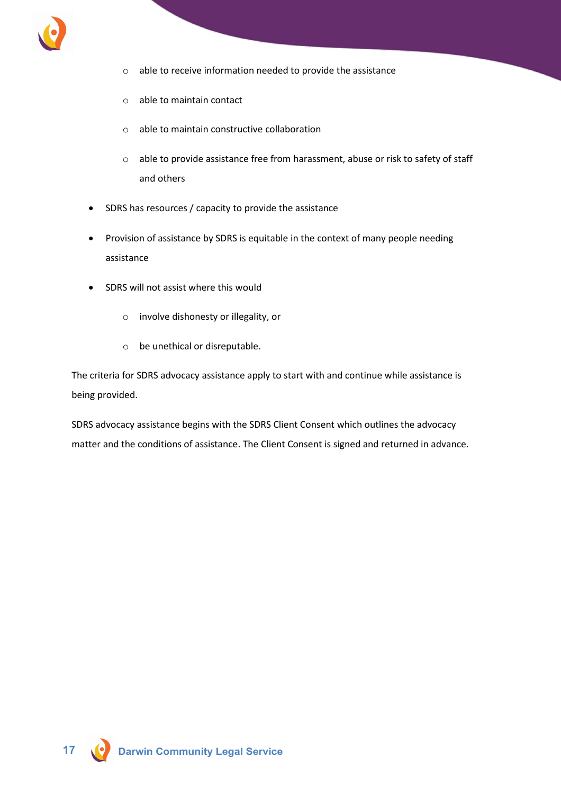

- o able to receive information needed to provide the assistance
- o able to maintain contact
- o able to maintain constructive collaboration
- o able to provide assistance free from harassment, abuse or risk to safety of staff and others
- SDRS has resources / capacity to provide the assistance
- Provision of assistance by SDRS is equitable in the context of many people needing assistance
- SDRS will not assist where this would
	- o involve dishonesty or illegality, or
	- o be unethical or disreputable.

The criteria for SDRS advocacy assistance apply to start with and continue while assistance is being provided.

SDRS advocacy assistance begins with the SDRS Client Consent which outlines the advocacy matter and the conditions of assistance. The Client Consent is signed and returned in advance.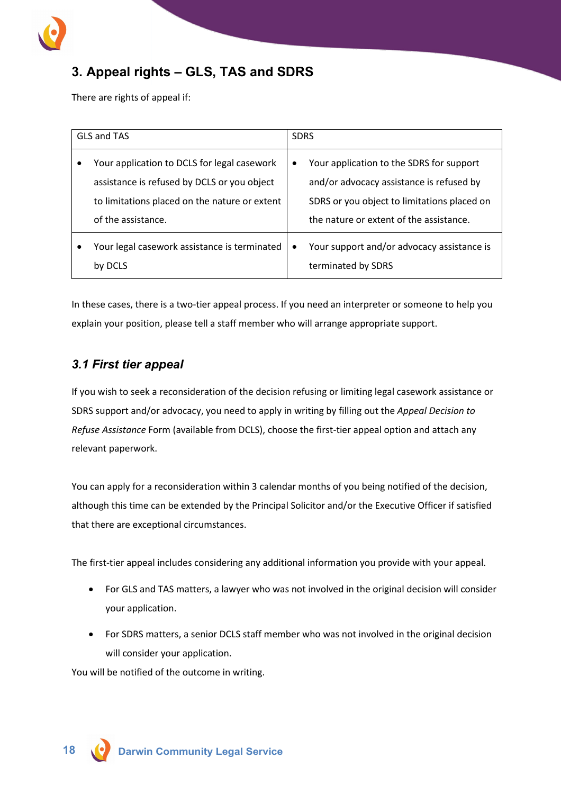

# <span id="page-16-0"></span>**3. Appeal rights – GLS, TAS and SDRS**

There are rights of appeal if:

| GLS and TAS                                                                                                                                                       | <b>SDRS</b> |                                                                                                                                                                                |
|-------------------------------------------------------------------------------------------------------------------------------------------------------------------|-------------|--------------------------------------------------------------------------------------------------------------------------------------------------------------------------------|
| Your application to DCLS for legal casework<br>assistance is refused by DCLS or you object<br>to limitations placed on the nature or extent<br>of the assistance. | $\bullet$   | Your application to the SDRS for support<br>and/or advocacy assistance is refused by<br>SDRS or you object to limitations placed on<br>the nature or extent of the assistance. |
| Your legal casework assistance is terminated<br>by DCLS                                                                                                           | $\bullet$   | Your support and/or advocacy assistance is<br>terminated by SDRS                                                                                                               |

In these cases, there is a two-tier appeal process. If you need an interpreter or someone to help you explain your position, please tell a staff member who will arrange appropriate support.

# <span id="page-16-1"></span>*3.1 First tier appeal*

If you wish to seek a reconsideration of the decision refusing or limiting legal casework assistance or SDRS support and/or advocacy, you need to apply in writing by filling out the *Appeal Decision to Refuse Assistance* Form (available from DCLS), choose the first-tier appeal option and attach any relevant paperwork.

You can apply for a reconsideration within 3 calendar months of you being notified of the decision, although this time can be extended by the Principal Solicitor and/or the Executive Officer if satisfied that there are exceptional circumstances.

The first-tier appeal includes considering any additional information you provide with your appeal.

- For GLS and TAS matters, a lawyer who was not involved in the original decision will consider your application.
- For SDRS matters, a senior DCLS staff member who was not involved in the original decision will consider your application.

You will be notified of the outcome in writing.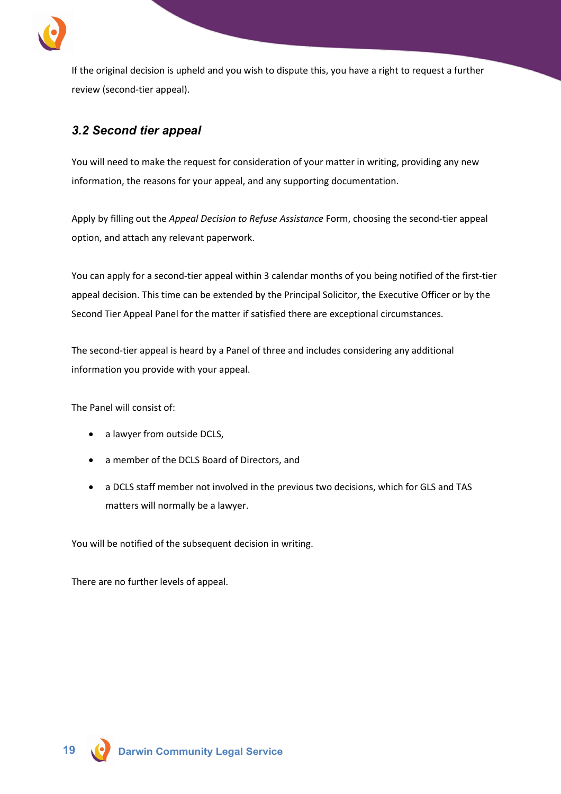

If the original decision is upheld and you wish to dispute this, you have a right to request a further review (second-tier appeal).

# <span id="page-17-0"></span>*3.2 Second tier appeal*

You will need to make the request for consideration of your matter in writing, providing any new information, the reasons for your appeal, and any supporting documentation.

Apply by filling out the *Appeal Decision to Refuse Assistance* Form, choosing the second-tier appeal option, and attach any relevant paperwork.

You can apply for a second-tier appeal within 3 calendar months of you being notified of the first-tier appeal decision. This time can be extended by the Principal Solicitor, the Executive Officer or by the Second Tier Appeal Panel for the matter if satisfied there are exceptional circumstances.

The second-tier appeal is heard by a Panel of three and includes considering any additional information you provide with your appeal.

The Panel will consist of:

- a lawyer from outside DCLS,
- a member of the DCLS Board of Directors, and
- a DCLS staff member not involved in the previous two decisions, which for GLS and TAS matters will normally be a lawyer.

You will be notified of the subsequent decision in writing.

There are no further levels of appeal.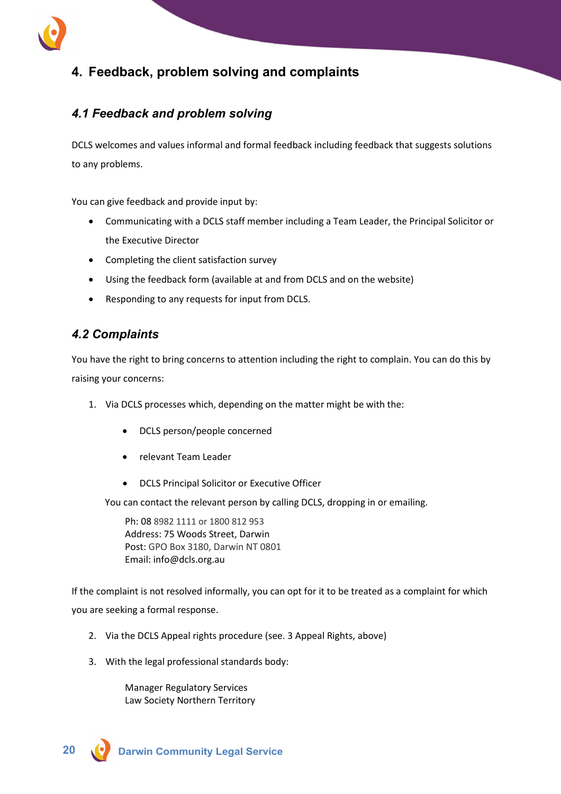

# <span id="page-18-0"></span>**4. Feedback, problem solving and complaints**

# <span id="page-18-1"></span>*4.1 Feedback and problem solving*

DCLS welcomes and values informal and formal feedback including feedback that suggests solutions to any problems.

You can give feedback and provide input by:

- Communicating with a DCLS staff member including a Team Leader, the Principal Solicitor or the Executive Director
- Completing the client satisfaction survey
- Using the feedback form (available at and from DCLS and on the website)
- Responding to any requests for input from DCLS.

# <span id="page-18-2"></span>*4.2 Complaints*

You have the right to bring concerns to attention including the right to complain. You can do this by raising your concerns:

- 1. Via DCLS processes which, depending on the matter might be with the:
	- DCLS person/people concerned
	- relevant Team Leader
	- DCLS Principal Solicitor or Executive Officer

You can contact the relevant person by calling DCLS, dropping in or emailing.

Ph: 08 8982 1111 or 1800 812 953 Address: 75 Woods Street, Darwin Post: GPO Box 3180, Darwin NT 0801 Email: info@dcls.org.au

If the complaint is not resolved informally, you can opt for it to be treated as a complaint for which you are seeking a formal response.

- 2. Via the DCLS Appeal rights procedure (see. 3 Appeal Rights, above)
- 3. With the legal professional standards body:

Manager Regulatory Services Law Society Northern Territory